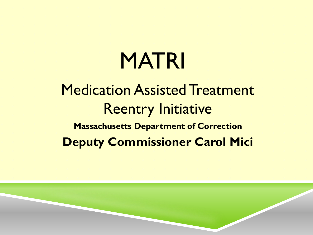# MATRI

## Medication Assisted Treatment Reentry Initiative **Massachusetts Department of Correction Deputy Commissioner Carol Mici**

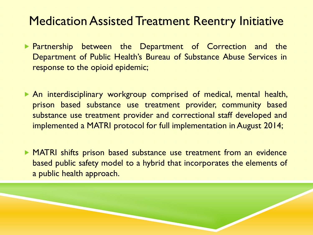#### **Medication Assisted Treatment Reentry Initiative**

- **Partnership between the Department of Correction and the** Department of Public Health's Bureau of Substance Abuse Services in response to the opioid epidemic;
- An interdisciplinary workgroup comprised of medical, mental health, prison based substance use treatment provider, community based substance use treatment provider and correctional staff developed and implemented a MATRI protocol for full implementation in August 2014;
- MATRI shifts prison based substance use treatment from an evidence based public safety model to a hybrid that incorporates the elements of a public health approach.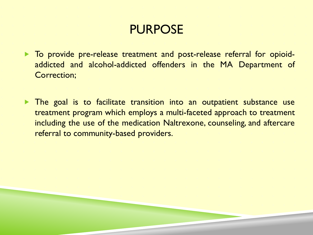## PURPOSE

- To provide pre-release treatment and post-release referral for opioidaddicted and alcohol-addicted offenders in the MA Department of Correction;
- **The goal is to facilitate transition into an outpatient substance use** treatment program which employs a multi-faceted approach to treatment including the use of the medication Naltrexone, counseling, and aftercare referral to community-based providers.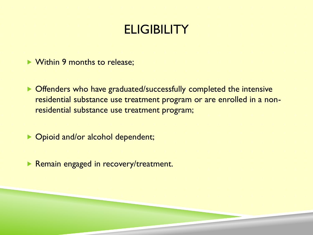## **ELIGIBILITY**

- ▶ Within 9 months to release;
- ▶ Offenders who have graduated/successfully completed the intensive residential substance use treatment program or are enrolled in a nonresidential substance use treatment program;
- ▶ Opioid and/or alcohol dependent;
- **Remain engaged in recovery/treatment.**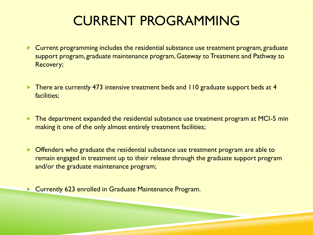## CURRENT PROGRAMMING

- **EXTE:** Current programming includes the residential substance use treatment program, graduate support program, graduate maintenance program, Gateway to Treatment and Pathway to Recovery;
- There are currently 473 intensive treatment beds and 110 graduate support beds at 4 facilities;
- **The department expanded the residential substance use treatment program at MCI-S min** making it one of the only almost entirely treatment facilities;
- **Offenders who graduate the residential substance use treatment program are able to** remain engaged in treatment up to their release through the graduate support program and/or the graduate maintenance program;

**EX Currently 623 enrolled in Graduate Maintenance Program.**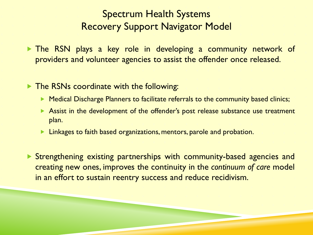#### Spectrum Health Systems Recovery Support Navigator Model

 The RSN plays a key role in developing a community network of providers and volunteer agencies to assist the offender once released.

**The RSNs coordinate with the following:** 

- **Medical Discharge Planners to facilitate referrals to the community based clinics;**
- Assist in the development of the offender's post release substance use treatment plan.
- $\blacktriangleright$  Linkages to faith based organizations, mentors, parole and probation.

 Strengthening existing partnerships with community-based agencies and creating new ones, improves the continuity in the *continuum of care* model in an effort to sustain reentry success and reduce recidivism.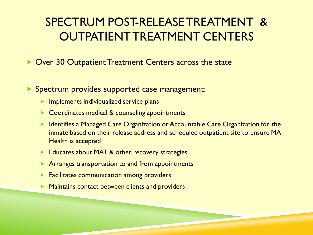#### SPECTRUM POST-RELEASE TREATMENT & OUTPATIENT TREATMENT CENTERS

- ▶ Over 30 Outpatient Treatment Centers across the state
- ▶ Spectrum provides supported case management:
	- $\blacktriangleright$  Implements individualized service plans
	- ▶ Coordinates medical & counseling appointments
	- **IDED** Identifies a Managed Care Organization or Accountable Care Organization for the inmate based on their release address and scheduled outpatient site to ensure MA Health is accepted
	- Educates about MAT & other recovery strategies
	- **Arranges transportation to and from appointments**
	- Facilitates communication among providers
	- Maintains contact between clients and providers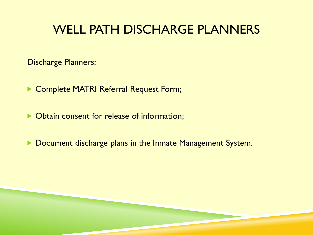#### WELL PATH DISCHARGE PLANNERS

Discharge Planners:

Complete MATRI Referral Request Form;

▶ Obtain consent for release of information;

Document discharge plans in the Inmate Management System.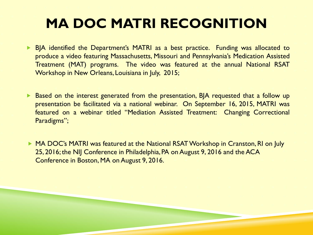## **MA DOC MATRI RECOGNITION**

- **BIA identified the Department's MATRI as a best practice. Funding was allocated to** produce a video featuring Massachusetts, Missouri and Pennsylvania's Medication Assisted Treatment (MAT) programs. The video was featured at the annual National RSAT Workshop in New Orleans, Louisiana in July, 2015;
- Based on the interest generated from the presentation, BJA requested that a follow up presentation be facilitated via a national webinar. On September 16, 2015, MATRI was featured on a webinar titled "Mediation Assisted Treatment: Changing Correctional Paradigms";
- ▶ MA DOC's MATRI was featured at the National RSAT Workshop in Cranston, RI on July 25, 2016; the NIJ Conference in Philadelphia, PA on August 9, 2016 and the ACA Conference in Boston, MA on August 9, 2016.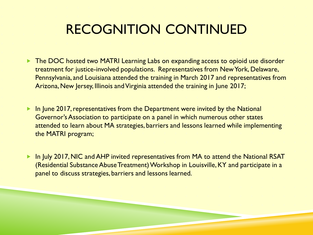## RECOGNITION CONTINUED

- The DOC hosted two MATRI Learning Labs on expanding access to opioid use disorder treatment for justice-involved populations. Representatives from New York, Delaware, Pennsylvania, and Louisiana attended the training in March 2017 and representatives from Arizona, New Jersey, Illinois and Virginia attended the training in June 2017;
- ▶ In June 2017, representatives from the Department were invited by the National Governor's Association to participate on a panel in which numerous other states attended to learn about MA strategies, barriers and lessons learned while implementing the MATRI program;
- ▶ In July 2017, NIC and AHP invited representatives from MA to attend the National RSAT (Residential Substance Abuse Treatment) Workshop in Louisville, KY and participate in a panel to discuss strategies, barriers and lessons learned.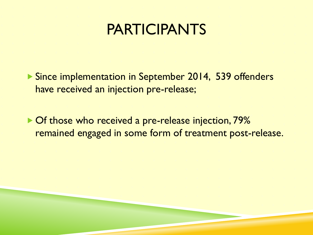## PARTICIPANTS

▶ Since implementation in September 2014, 539 offenders have received an injection pre-release;

▶ Of those who received a pre-release injection, 79% remained engaged in some form of treatment post-release.